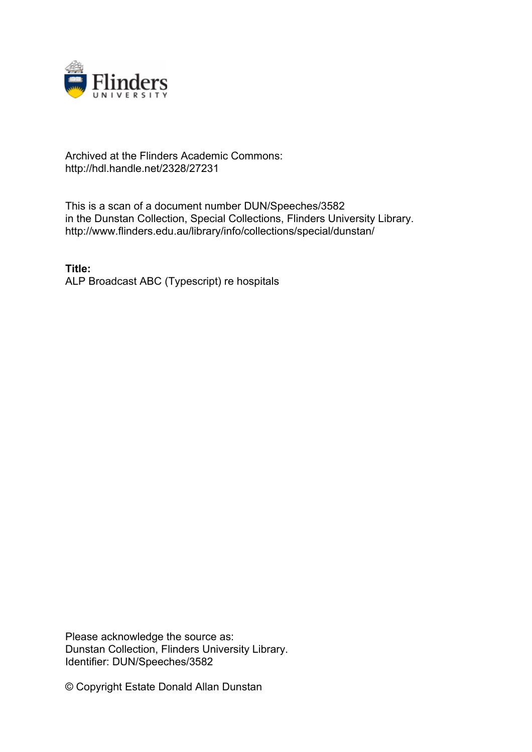

## Archived at the Flinders Academic Commons: http://hdl.handle.net/2328/27231

This is a scan of a document number DUN/Speeches/3582 in the Dunstan Collection, Special Collections, Flinders University Library. http://www.flinders.edu.au/library/info/collections/special/dunstan/

**Title:** ALP Broadcast ABC (Typescript) re hospitals

Please acknowledge the source as: Dunstan Collection, Flinders University Library. Identifier: DUN/Speeches/3582

© Copyright Estate Donald Allan Dunstan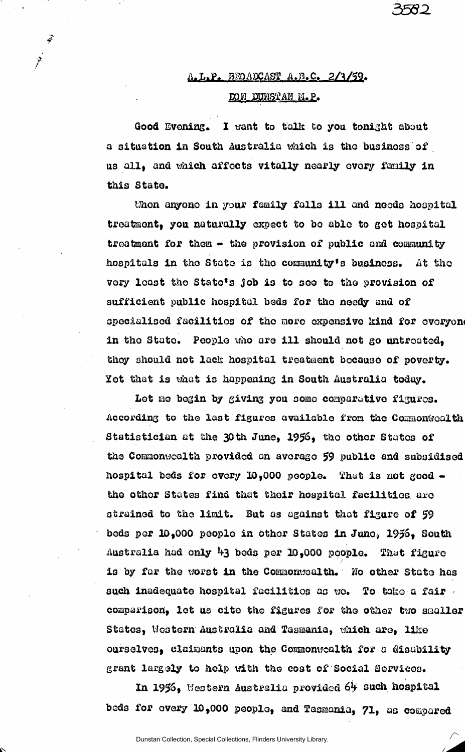## $A. L.P.$  BROADCAST  $A. B.C.$  2/3/59. DON BOHSTAM M.P.

582

Good Evening. I want to talk to you tonight about a situation in South Australia which is tho business of us all, and which affects vitally nearly every family in this State.

thon anyone in your family falls ill and needs hospital treatment) you naturally expect to bo able to get hospital treatment for them  $-$  the provision of public and community hospitals in the State is the community's business, At tho very least tho State's Job is to see to the provision of sufficient public hospital beds for tho needy and of specialised facilities of the more expensive kind for everyone in the Stato. People who are ill should not go untreated, they should not lack hospital treatment bocause of poverty, Yet that is what is happening in South Australia today.

Let ne begin by giving you some comparative figures. According to the last figures available from the Commonwealth Statistician at the 30th June, 1956, the other States of the Commonwealth provided an average *\$9* public and subsidised hospital beds for every 10,000 people. That is not good  $\bullet$ the other States find that their hospital facilities aro strained to the limit. But as against that figure of 59 beds per 10,000 people in other States in June, 1956, South Australia had only beds per 3D,000 people. That figure is by far the worst in the Commonwealth. No other State has such inadequate hospital facilities as we. To take a fair  $\cdot$ comparison, let us cite the figures for the other two smaller States, Western Australia and Tasmania, which are, like ourselves, claimants upon the Commonwealth for a disability grant largely to help with the cost of Social Services.

In 1956» Western Australia provided Of such hospital beds for every 10,000 peoplo, and Zasmonla, 71, as compared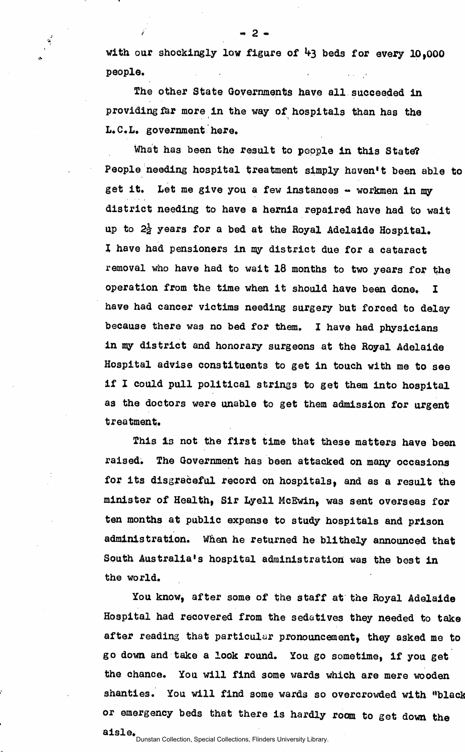with our shockingly low figure of  $43$  beds for every 10,000 people.

The other State Governments have all succeeded in providing far more in the way of hospitals than has the L.C.L. government here.

- 2 -

What has been the result to people in this State? People needing hospital treatment simply haven't been able to get it. Let me give you a few instances - workmen in my district needing to have a hernia repaired have had to wait up to  $2\frac{1}{2}$  years for a bed at the Royal Adelaide Hospital. I have had pensioners in my district due for a cataract removal who have had to wait 18 months to two years for the operation from the time when it should have been done. I have had cancer victims needing surgery but forced to delay because there was no bed for them. I have had physicians in my district and honorary surgeons at the Royal Adelaide Hospital advise constituents to get in touch with me to see if I could pull political strings to get them into hospital as the doctors were unable to get them admission for urgent treatment.

This is not the first time that these matters have been raised. The Government has been attacked on many occasions for its disgraceful record on hospitals, and as a result the minister of Health, Sir Lyell McEwin, was sent overseas for ten months at public expense to study hospitals and prison administration. When he returned he blithely announced that South Australia's hospital administration was the best in  $\mathbf{S}$  the world  $\mathbf{A}$ 

You know, after some of the staff at the Royal Adelaide Hospital had recovered from the sedatives they needed to take after reading that particular pronouncement, they asked me to go down and take a look round. You go sometime, if you get the chance. You will find some wards which are mere wooden shanties. You will find some wards so overcrowded with "black or emergency beds that there is hardly room to get down the or emergency beds that there is hardly room to get down the there is the there is the there is the there is the<br>International contract the there is the there is the theory of the theory of the theory of the theory of the t

Dunstan Collection, Special Collections, Flinders University Library.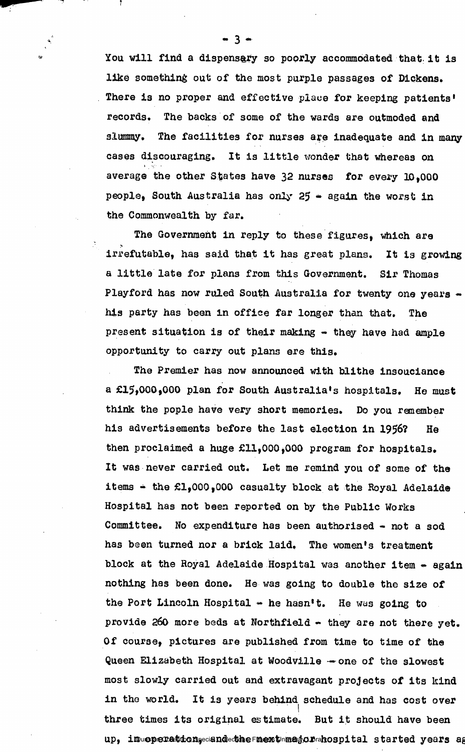You will find a dispensary so poorly accommodated that, it is like something out of the most purple passages of Dickens. There is no proper and effective place for keeping patients' records. The backs of some of the wards are outmoded and slummy. The facilities for nurses are inadequate and in many cases discouraging. It is little wonder that whereas on average the other States have 32 nurses for every ID,000 people, South Australia has only  $25$  - again the worst in the Commonwealth by far.

The Government in reply to these figures, which are > irrefutable, has said that it has great plans. It is growing a little late for plans from this Government. Sir Thomas Playford has now ruled South Australia for twenty one years his party has been in office far longer than that. The present situation is of their making  $-$  they have had ample opportunity to carry out plans ere this.

The Premier has now announced with blithe insouciance a £15,000,000 plan for South Australia's hospitals. He must think the pople have very short memories. Do you remember his advertisements before the last election in 1956? He then proclaimed a huge £11,000,000 program for hospitals. It was never carried out. Let me remind you of some of the items  $\div$  the  $f1,000,000$  casualty block at the Royal Adelaide Hospital has not been reported on by the Public Works Committee. No expenditure has been authorised - not a sod has been turned nor a brick laid. The women's treatment block at the Royal Adelaide Hospital was another item - again nothing has been done. He was going to double the size of the Port Lincoln Hospital  $\div$  he hasn't. He was going to provide 260 more beds at Northfield - they are not there yet. Of course, pictures are published from time to time of the Queen Elizabeth Hospital at Woodville —one of the slowest most slowly carried out and extravagant projects of its kind in the world. It is years behind schedule and has cost over three times its original estimate. But it should have been  $\mathfrak{u}$ p, in  $\mathfrak{u}$  and  $\mathfrak{g}$  and  $\mathfrak{g}$  and  $\mathfrak{g}$  and  $\mathfrak{g}$  and  $\mathfrak{g}$  and  $\mathfrak{g}$  and  $\mathfrak{g}$  and  $\mathfrak{g}$  and  $\mathfrak{g}$  and  $\mathfrak{g}$  and  $\mathfrak{g}$  and  $\mathfrak{g}$  and  $\mathfrak{g}$  and  $\mathfrak{g}$ 

- 3 -

7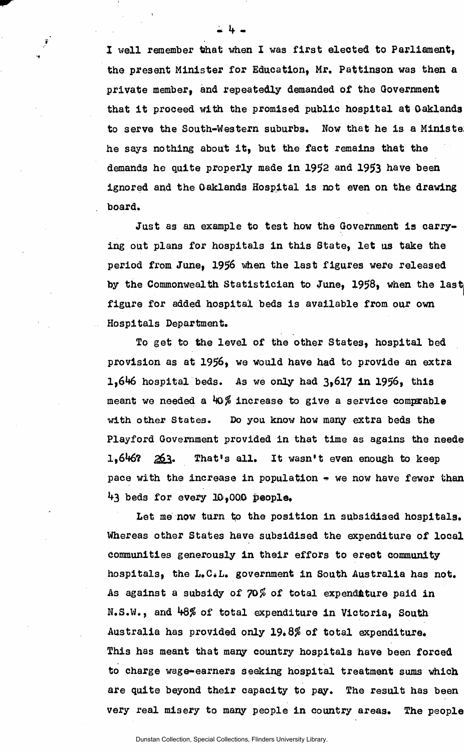I well remember that when I was first elected to Parliament, the present Minister for Education, Mr, Pattinson was then a private member, and repeatedly demanded of the Government that it proceed with the promised public hospital at Oaklands to serve the South-Western suburbs, Wow that he is a Ministe: he says nothing about it, but the fact remains that the demands he quite properly made in 1952 and 1953 have been ignored and the Oaklands Hospital is not even on the drawing board.

i If.

 $\sum_{i=1}^{n}$ 

Just as an example to test how the Government is carrying out plans for hospitals in this State, let us take the period from June, 1956 vhen the last figures were released by the Commonwealth Statistician to June, 1958, when the last figure for added hospital beds is available from our own Hospitals Department.

To get to the level of the other States, hospital bed provision as at 1956, we would have had to provide an extra 1,646 hospital beds. As we only had  $3,617$  in 1956, this meant we needed a  $40\%$  increase to give a service comprable with other States. Do you know how many extra beds the Playford Government provided in that time as agains the neede  $1,646$ ?  $263$ . That's all. It wasn't even enough to keep pace with the increase in population  $\bullet$  we now have fewer than \*+3 beds for every 10,000 people.

Let me now turn to the position in subsidised hospitals. Whereas other States have subsidised the expenditure of local communities generously in their effors to ereot community hospitals, the L.C.L. government in South Australia has not. As against a subsidy of  $70\%$  of total expenditure paid in N.S.W., and  $48\%$  of total expenditure in Victoria, South Australia has provided only  $19.8\%$  of total expenditure. This has meant that many country hospitals have been forced to charge wage-earners seeking hospital treatment sums which are quite beyond their capacity to pay. The result has been very real misery to many people in country areas. The people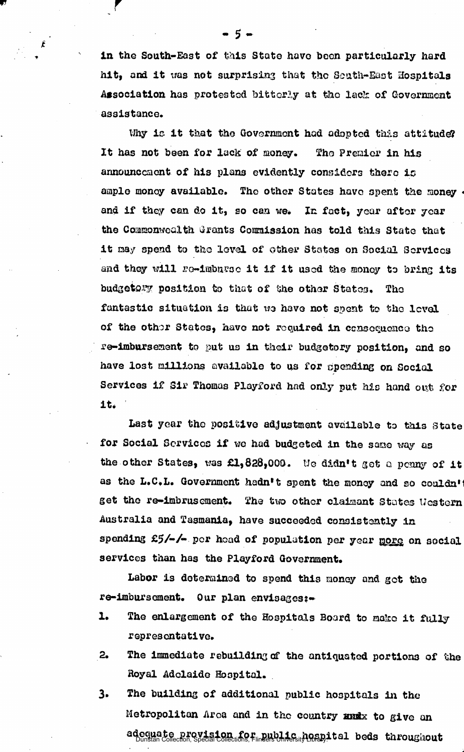in the South-East of this State have boon particularly hard hit, and it was not surprising that the South-East Hospitals Association has protested bitterly at the lack of Government assistance,

Why is it that the Government had adopted this attitude? It has not been for lack of money. The Premier in his announcement of his plans evidently considers there is ample monoy available. The other States have spent the money  $\cdot$ and if they can do it, so can we. In fact, year after year the Commonwealth Qrants Commission has told this State that it may spend to the level of other States on Social Services and they will re-imbarse it if it used the money to bring its budgetory position to that of the other States. The fantastic situation is that wo have not spent to the level of the othor States, have not required in consequence the re-imbursemont to put us in their budgetary position, and so have lost millions available to us for spending on Social Services if Sir Thomas Playford hod only put his hand out for it.

Last year the positive adjustment available to this state for Social Services if we had budgeted in the sano way as the other States, was £1,828,000. We didn't get a penny of it as the L.C.L. Government hadn't spent the money and so couldn't get the re-imbrusement. The two other claimant States Western Australia and Tasmania, have succeeded consistently la spending  $f_5/-/-$  per head of population per year more on social services than has the Playford Government.

Labor is determined to spend this money and got the re-imbursement. Our plan envisages:-

- 1. The enlargement of the Hospitals Board to make it fully representative.
- 2. The immediate rebuilding of the antiquated portions of the Royal Adelaide Hospital.
- 3. The building of additional public hospitals in the Metropolitan Area and in the country andx to give an adequate provision for public messives) tal beds throughout

- 5 -